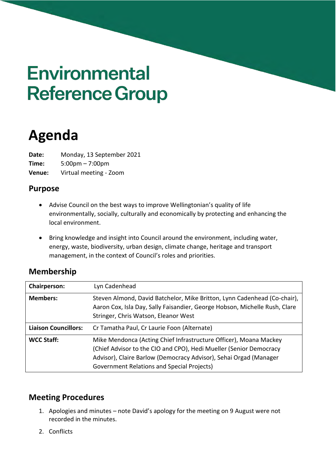# **Environmental Reference Group**

# **Agenda**

**Date:** Monday, 13 September 2021 **Time:** 5:00pm – 7:00pm **Venue:** Virtual meeting - Zoom

## **Purpose**

- Advise Council on the best ways to improve Wellingtonian's quality of life environmentally, socially, culturally and economically by protecting and enhancing the local environment.
- Bring knowledge and insight into Council around the environment, including water, energy, waste, biodiversity, urban design, climate change, heritage and transport management, in the context of Council's roles and priorities.

| <b>Membership</b> |
|-------------------|
|-------------------|

| <b>Chairperson:</b>         | Lyn Cadenhead                                                                                                                                                                                                                                              |
|-----------------------------|------------------------------------------------------------------------------------------------------------------------------------------------------------------------------------------------------------------------------------------------------------|
| <b>Members:</b>             | Steven Almond, David Batchelor, Mike Britton, Lynn Cadenhead (Co-chair),<br>Aaron Cox, Isla Day, Sally Faisandier, George Hobson, Michelle Rush, Clare<br>Stringer, Chris Watson, Eleanor West                                                             |
| <b>Liaison Councillors:</b> | Cr Tamatha Paul, Cr Laurie Foon (Alternate)                                                                                                                                                                                                                |
| <b>WCC Staff:</b>           | Mike Mendonca (Acting Chief Infrastructure Officer), Moana Mackey<br>(Chief Advisor to the CIO and CPO), Hedi Mueller (Senior Democracy<br>Advisor), Claire Barlow (Democracy Advisor), Sehai Orgad (Manager<br>Government Relations and Special Projects) |

# **Meeting Procedures**

- 1. Apologies and minutes note David's apology for the meeting on 9 August were not recorded in the minutes.
- 2. Conflicts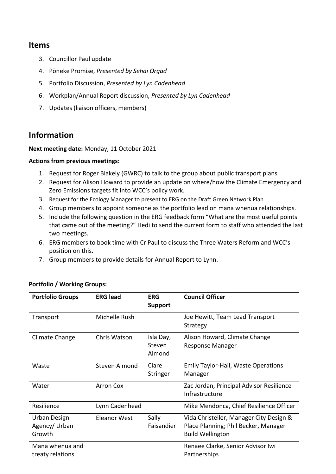#### **Items**

- 3. Councillor Paul update
- 4. Pōneke Promise, *Presented by Sehai Orgad*
- 5. Portfolio Discussion, *Presented by Lyn Cadenhead*
- 6. Workplan/Annual Report discussion, *Presented by Lyn Cadenhead*
- 7. Updates (liaison officers, members)

## **Information**

#### **Next meeting date:** Monday, 11 October 2021

#### **Actions from previous meetings:**

- 1. Request for Roger Blakely (GWRC) to talk to the group about public transport plans
- 2. Request for Alison Howard to provide an update on where/how the Climate Emergency and Zero Emissions targets fit into WCC's policy work.
- 3. Request for the Ecology Manager to present to ERG on the Draft Green Network Plan
- 4. Group members to appoint someone as the portfolio lead on mana whenua relationships.
- 5. Include the following question in the ERG feedback form "What are the most useful points that came out of the meeting?" Hedi to send the current form to staff who attended the last two meetings.
- 6. ERG members to book time with Cr Paul to discuss the Three Waters Reform and WCC's position on this.
- 7. Group members to provide details for Annual Report to Lynn.

| <b>Portfolio Groups</b>                 | <b>ERG lead</b>  | <b>ERG</b><br><b>Support</b>  | <b>Council Officer</b>                                                                                     |
|-----------------------------------------|------------------|-------------------------------|------------------------------------------------------------------------------------------------------------|
| Transport                               | Michelle Rush    |                               | Joe Hewitt, Team Lead Transport<br>Strategy                                                                |
| Climate Change                          | Chris Watson     | Isla Day,<br>Steven<br>Almond | Alison Howard, Climate Change<br><b>Response Manager</b>                                                   |
| Waste                                   | Steven Almond    | Clare<br>Stringer             | <b>Emily Taylor-Hall, Waste Operations</b><br>Manager                                                      |
| Water                                   | <b>Arron Cox</b> |                               | Zac Jordan, Principal Advisor Resilience<br>Infrastructure                                                 |
| Resilience                              | Lynn Cadenhead   |                               | Mike Mendonca, Chief Resilience Officer                                                                    |
| Urban Design<br>Agency/ Urban<br>Growth | Eleanor West     | Sally<br>Faisandier           | Vida Christeller, Manager City Design &<br>Place Planning; Phil Becker, Manager<br><b>Build Wellington</b> |
| Mana whenua and<br>treaty relations     |                  |                               | Renaee Clarke, Senior Advisor Iwi<br>Partnerships                                                          |

#### **Portfolio / Working Groups:**